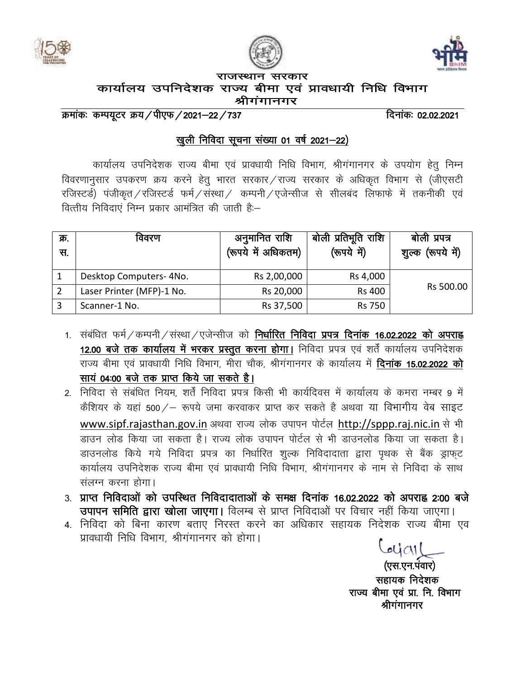





राजस्थान सरकार कार्यालय उपनिदेशक राज्य बीमा एवं प्रावधायी निधि विभाग श्रीगगानगर

क्रमांकः कम्पयूटर क्रय/पीएफ/2021–22/737 *क्रमांकः 12.02.2021* दिनांकः 02.02.2021

## खुली निविदा सूचना संख्या 01 वर्ष 2021-22)

कार्यालय उपनिदेशक राज्य बीमा एवं प्रावधायी निधि विभाग, श्रीगंगानगर के उपयोग हेतु निम्न विवरणानुसार उपकरण क्रय करने हेतु भारत सरकार राज्य सरकार के अधिकृत विभाग से (जीएसटी रजिस्टर्ड) पंजीकृत / रजिस्टर्ड फर्म / संस्था / कम्पनी / एजेन्सीज से सीलबंद लिफाफे में तकनीकी एवं वित्तीय निविदाएं निम्न प्रकार आमंत्रित की जाती है:–

| क्र.<br>स. | विवरण                     | अनुमानित राशि<br>(रूपये में अधिकतम) | बोली प्रतिभूति राशि<br>(रूपये में) | बोली प्रपत्र<br>(रूपये में)<br>शुल्क |
|------------|---------------------------|-------------------------------------|------------------------------------|--------------------------------------|
|            | Desktop Computers- 4No.   | Rs 2,00,000                         | Rs 4,000                           |                                      |
|            | Laser Printer (MFP)-1 No. | Rs 20,000                           | <b>Rs 400</b>                      | Rs 500.00                            |
|            | Scanner-1 No.             | Rs 37,500                           | <b>Rs 750</b>                      |                                      |

- 1. संबंधित फर्म ⁄ कम्पनी ⁄ संस्था ⁄ एजेन्सीज को **निर्धारित निविदा प्रपत्र दिनांक 16.02.2022 को अपराह्न** 12.00 बजे तक कार्यालय में भरकर प्रस्तुत करना होगा। निविदा प्रपत्र एवं शर्तें कार्यालय उपनिदेशक राज्य बीमा एवं प्रावधायी निधि विभाग, मीरा चौक, श्रीगंगानगर के कार्यालय में **दिनांक 15.02.2022 को** साय 04:00 बजे तक प्राप्त किये जा सकते है।
- 2. निविदा से संबंधित नियम, शर्तें निविदा प्रपत्र किसी भी कार्यदिवस में कार्यालय के कमरा नम्बर 9 में कैशियर के यहां 500 / - रूपये जमा करवाकर प्राप्त कर सकते है अथवा या विभागीय वेब साइट www.sipf.rajasthan.gov.in अथवा राज्य लोक उपापन पोर्टल http://sppp.raj.nic.in से भी डाउन लोड किया जा सकता है। राज्य लोक उपापन पोर्टल से भी डाउनलोड किया जा सकता है। डाउनलोड किये गये निविदा प्रपत्र का निर्धारित शुल्क निविदादाता द्वारा पथक से बैंक ड्राफट कार्यालय उपनिदेशक राज्य बीमा एवं प्रावधायी निधि विभाग, श्रीगंगानगर के नाम से निविदा के साथ संलग्न करना होगा।
- 3. प्राप्त निविदाओं को उपस्थित निविदादाताओं के समक्ष दिनांक 16.02.2022 को अपराह्न 2:00 बजे उपापन समिति द्वारा खोला जाएगा। विलम्ब से प्राप्त निविदाओं पर विचार नहीं किया जाएगा।
- 4. निविदा को बिना कारण बताए निरस्त करने का अधिकार सहायक निदेशक राज्य बीमा एव प्रावधायी निधि विभाग, श्रीगंगानगर को होगा।

 $4401$ (एस.एन.पंवार) सहायक निदेशक राज्य बीमा एवं प्रा. नि. विभाग श्रीगंगानगर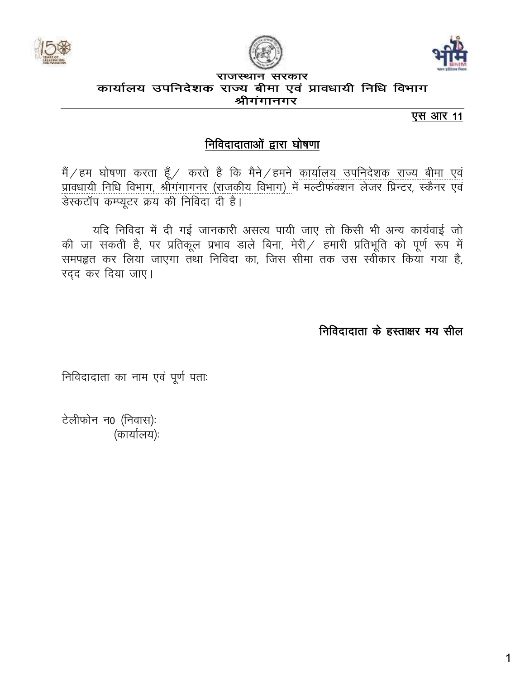





#### राजस्थान सरकार कार्यालय उपनिदेशक राज्य बीमा एवं प्रावधायी निधि विभाग श्रीगगानगर

एस आर 11

# निविदादाताओं द्वारा घोषणा

मैं ⁄ हम घोषणा करता हूँ ⁄ करते है कि मैने ⁄ हमने <u>कार्यालय उपनिदेशक राज्य बीमा एवं</u><br><u>प्रावधायी निधि विभाग, श्रीगंगागनर (राजकीय विभाग) में मल्टीफंक्शन लेजर प्रिन्टर, स्कैनर एवं</u> डेस्कटॉप कम्प्यूटर क्रय की निविदा दी है।

यदि निविदा में दी गई जानकारी असत्य पायी जाए तो किसी भी अन्य कार्यवाई जो की जा सकती है, पर प्रतिकूल प्रभाव डाले बिना, मेरी / हमारी प्रतिभूति को पूर्ण रूप में समपहृत कर लिया जाएगा तथा निविदा का, जिस सीमा तक उस स्वींकार किया गया है, रदद कर दिया जाए।

निविदादाता के हस्ताक्षर मय सील

निविदादाता का नाम एवं पूर्ण पताः

टेलीफोन न0 (निवास): (कार्यालय):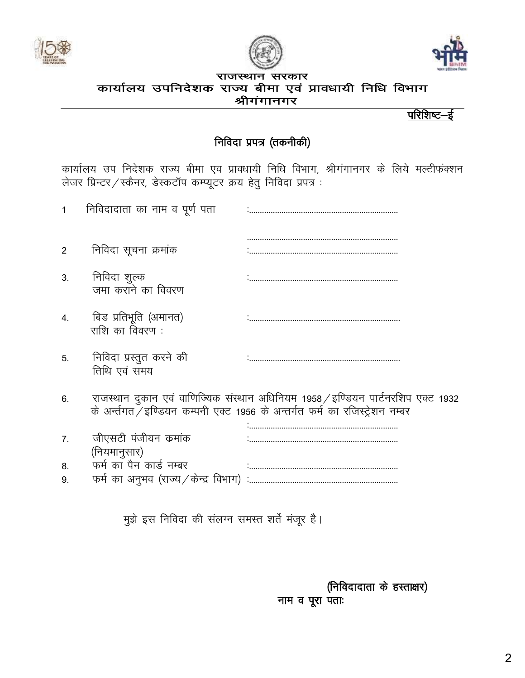





#### राजस्थान सरकार कार्यालय उपनिदेशक राज्य बीमा एवं प्रावधायी निधि विभाग श्रीगंगानगर

परिशिष्ट-ई

# <u>निविदा प्रपत्र (तकनीकी)</u>

कार्यालय उप निदेशक राज्य बीमा एव प्रावधायी निधि विभाग, श्रीगंगानगर के लिये मल्टीफंक्शन लेजर प्रिन्टर / स्कैनर, डेस्कटॉप कम्प्यूटर क्रय हेतु निविदा प्रपत्र :

| 1  | निविदादाता का नाम व पूर्ण पता                |                                                                                                                                                                 |
|----|----------------------------------------------|-----------------------------------------------------------------------------------------------------------------------------------------------------------------|
| 2  | निविदा सूचना क्रमांक                         |                                                                                                                                                                 |
| 3. | निविदा शुल्क<br>जमा कराने का विवरण           |                                                                                                                                                                 |
| 4. | बिड प्रतिभूति (अमानत)<br>राशि का विवरण :     |                                                                                                                                                                 |
| 5. | निविदा प्रस्तुत करने की<br>तिथि एवं समय      |                                                                                                                                                                 |
| 6. |                                              | राजस्थान दुकान एवं वाणिज्यिक संस्थान अधिनियम 1958 / इण्डियन पार्टनरशिप एक्ट 1932<br>के अर्न्तगत /इण्डियन कम्पनी एक्ट 1956 के अन्तर्गत फर्म का रजिस्ट्रेशन नम्बर |
| 7. | जीएसटी पंजीयन क्रमांक<br>(नियमानुसार)        |                                                                                                                                                                 |
| 8. | फर्म का पैन कार्ड नम्बर                      |                                                                                                                                                                 |
| 9. | फर्म का अनुभव (राज्य $\angle$ केन्द्र विभाग) |                                                                                                                                                                 |
|    |                                              |                                                                                                                                                                 |

मुझे इस निविदा की संलग्न समस्त शर्ते मंजूर है।

(निविदादाता के हस्ताक्षर) नाम व पूरा पताः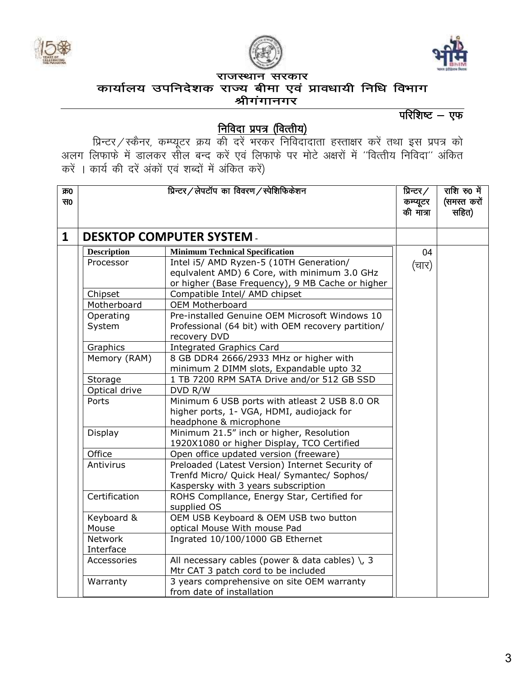





## कार्यालय उपनिदेशक राज्य बीमा एवं प्रावधायी निधि विभाग श्रीगंगानगर

## परिशिष्ट $-$  एफ

## <u>निविदा प्रपत्र (वित्तीय)</u>

,<br>प्रिन्टर ⁄ स्कैनर, कम्प्यूटर क्रय की दरें भरकर निविदादाता हस्ताक्षर करें तथा इस प्रपत्र को अलग लिफाफे में डालकर सील बन्द करें एवं लिफाफे पर मोटे अक्षरों में "वित्तीय निविदा" अंकित करें । कार्य की दरें अंकों एवं शब्दों में अंकित करें)

| क्र0         |                                                                                              | प्रिन्टर/लेपटॉप का विवरण/स्पेशिफिकेशन                                                                                                       | प्रिन्टर ⁄ | राशि रु0 में |
|--------------|----------------------------------------------------------------------------------------------|---------------------------------------------------------------------------------------------------------------------------------------------|------------|--------------|
| स0           |                                                                                              |                                                                                                                                             | कम्प्यूटर  | (समस्त करों  |
|              |                                                                                              |                                                                                                                                             | की मात्रा  | सहित)        |
| $\mathbf{1}$ |                                                                                              | <b>DESKTOP COMPUTER SYSTEM -</b>                                                                                                            |            |              |
|              | <b>Description</b>                                                                           | <b>Minimum Technical Specification</b>                                                                                                      | 04         |              |
|              | Processor                                                                                    | Intel i5/ AMD Ryzen-5 (10TH Generation/<br>equivalent AMD) 6 Core, with minimum 3.0 GHz<br>or higher (Base Frequency), 9 MB Cache or higher | (चार)      |              |
|              | Chipset                                                                                      | Compatible Intel/ AMD chipset                                                                                                               |            |              |
|              | Motherboard                                                                                  | <b>OEM Motherboard</b>                                                                                                                      |            |              |
|              | Operating<br>System                                                                          | Pre-installed Genuine OEM Microsoft Windows 10<br>Professional (64 bit) with OEM recovery partition/<br>recovery DVD                        |            |              |
|              | <b>Integrated Graphics Card</b><br>Graphics                                                  |                                                                                                                                             |            |              |
|              | Memory (RAM)<br>8 GB DDR4 2666/2933 MHz or higher with                                       |                                                                                                                                             |            |              |
|              | minimum 2 DIMM slots, Expandable upto 32                                                     |                                                                                                                                             |            |              |
|              | Storage                                                                                      | 1 TB 7200 RPM SATA Drive and/or 512 GB SSD                                                                                                  |            |              |
|              | Optical drive<br>DVD R/W                                                                     |                                                                                                                                             |            |              |
|              | Ports                                                                                        | Minimum 6 USB ports with atleast 2 USB 8.0 OR<br>higher ports, 1- VGA, HDMI, audiojack for<br>headphone & microphone                        |            |              |
|              | Display                                                                                      | Minimum 21.5" inch or higher, Resolution<br>1920X1080 or higher Display, TCO Certified                                                      |            |              |
|              | Office                                                                                       | Open office updated version (freeware)                                                                                                      |            |              |
|              | Antivirus                                                                                    | Preloaded (Latest Version) Internet Security of<br>Trenfd Micro/ Quick Heal/ Symantec/ Sophos/<br>Kaspersky with 3 years subscription       |            |              |
|              | Certification                                                                                | ROHS Compllance, Energy Star, Certified for<br>supplied OS                                                                                  |            |              |
|              | OEM USB Keyboard & OEM USB two button<br>Keyboard &<br>Mouse<br>optical Mouse With mouse Pad |                                                                                                                                             |            |              |
|              |                                                                                              |                                                                                                                                             |            |              |
|              | <b>Network</b>                                                                               | Ingrated 10/100/1000 GB Ethernet                                                                                                            |            |              |
|              | Interface                                                                                    |                                                                                                                                             |            |              |
|              | Accessories                                                                                  | All necessary cables (power & data cables) $\backslash$ , 3<br>Mtr CAT 3 patch cord to be included                                          |            |              |
|              | Warranty                                                                                     | 3 years comprehensive on site OEM warranty<br>from date of installation                                                                     |            |              |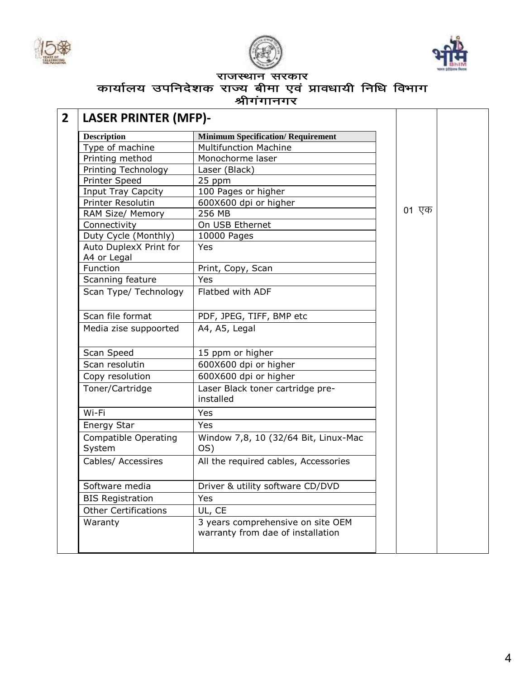





### राजस्थान सरकार लार्यालय उपनिदेशक राजस्थान राख्यार<br>कार्यालय उपनिदेशक राज्य बीमा एवं प्रावधायी निधि विभाग श्रीगंगानगर

| <b>LASER PRINTER (MFP)-</b>           |                                                                        |  |       |  |
|---------------------------------------|------------------------------------------------------------------------|--|-------|--|
| <b>Description</b>                    | <b>Minimum Specification/ Requirement</b>                              |  |       |  |
| Type of machine                       | Multifunction Machine                                                  |  |       |  |
| Printing method                       | Monochorme laser                                                       |  |       |  |
| Printing Technology                   | Laser (Black)                                                          |  |       |  |
| Printer Speed                         | 25 ppm                                                                 |  |       |  |
| <b>Input Tray Capcity</b>             | 100 Pages or higher                                                    |  |       |  |
| Printer Resolutin                     | 600X600 dpi or higher                                                  |  |       |  |
| RAM Size/ Memory                      | 256 MB                                                                 |  | 01 एक |  |
| Connectivity                          | On USB Ethernet                                                        |  |       |  |
| Duty Cycle (Monthly)                  | 10000 Pages                                                            |  |       |  |
| Auto DuplexX Print for<br>A4 or Legal | Yes                                                                    |  |       |  |
| Function                              | Print, Copy, Scan                                                      |  |       |  |
| Scanning feature                      | Yes                                                                    |  |       |  |
| Scan Type/ Technology                 | Flatbed with ADF                                                       |  |       |  |
| Scan file format                      | PDF, JPEG, TIFF, BMP etc                                               |  |       |  |
| Media zise suppoorted                 | A4, A5, Legal                                                          |  |       |  |
| Scan Speed                            | 15 ppm or higher                                                       |  |       |  |
| Scan resolutin                        | 600X600 dpi or higher                                                  |  |       |  |
| Copy resolution                       | 600X600 dpi or higher                                                  |  |       |  |
| Toner/Cartridge                       | Laser Black toner cartridge pre-<br>installed                          |  |       |  |
| Wi-Fi                                 | Yes                                                                    |  |       |  |
| Energy Star                           | Yes                                                                    |  |       |  |
| <b>Compatible Operating</b><br>System | Window 7,8, 10 (32/64 Bit, Linux-Mac<br>OS)                            |  |       |  |
| Cables/ Accessires                    | All the required cables, Accessories                                   |  |       |  |
| Software media                        | Driver & utility software CD/DVD                                       |  |       |  |
| <b>BIS Registration</b>               | Yes                                                                    |  |       |  |
| <b>Other Certifications</b>           | UL, CE                                                                 |  |       |  |
| Waranty                               | 3 years comprehensive on site OEM<br>warranty from dae of installation |  |       |  |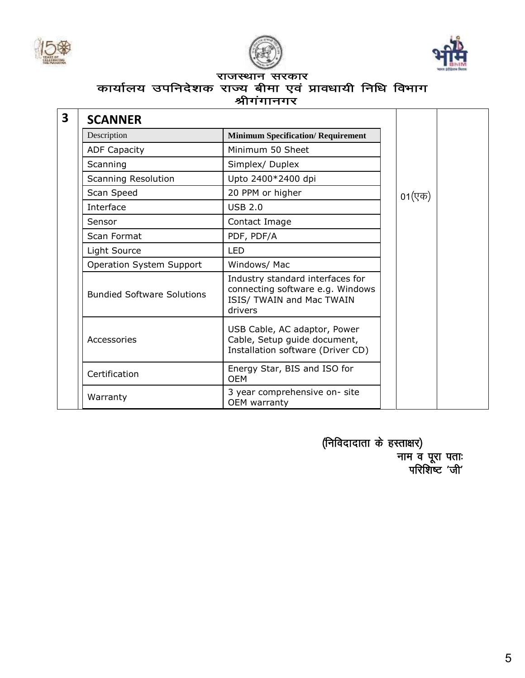





## राजस्थान सरकार लार्यालय उपनिदेशक राजस्थान राख्यार<br>कार्यालय उपनिदेशक राज्य बीमा एवं प्रावधायी निधि विभाग श्रीगंगानगर

| <b>SCANNER</b>                    |                                                                                                              |        |
|-----------------------------------|--------------------------------------------------------------------------------------------------------------|--------|
| Description                       | <b>Minimum Specification/ Requirement</b>                                                                    |        |
| <b>ADF Capacity</b>               | Minimum 50 Sheet                                                                                             |        |
| Scanning                          | Simplex/Duplex                                                                                               |        |
| Scanning Resolution               | Upto 2400*2400 dpi                                                                                           |        |
| Scan Speed                        | 20 PPM or higher                                                                                             | 01(एक) |
| Interface                         | <b>USB 2.0</b>                                                                                               |        |
| Sensor                            | Contact Image                                                                                                |        |
| Scan Format                       | PDF, PDF/A                                                                                                   |        |
| Light Source                      | <b>LED</b>                                                                                                   |        |
| Operation System Support          | Windows/ Mac                                                                                                 |        |
| <b>Bundied Software Solutions</b> | Industry standard interfaces for<br>connecting software e.g. Windows<br>ISIS/ TWAIN and Mac TWAIN<br>drivers |        |
| Accessories                       | USB Cable, AC adaptor, Power<br>Cable, Setup guide document,<br>Installation software (Driver CD)            |        |
| Certification                     | Energy Star, BIS and ISO for<br><b>OEM</b>                                                                   |        |
| Warranty                          | 3 year comprehensive on-site<br>OEM warranty                                                                 |        |

 $($ निविदादाता के हस्ताक्षर) नाम व पूर<mark>ा</mark> पताः परिशिष्ट 'जी'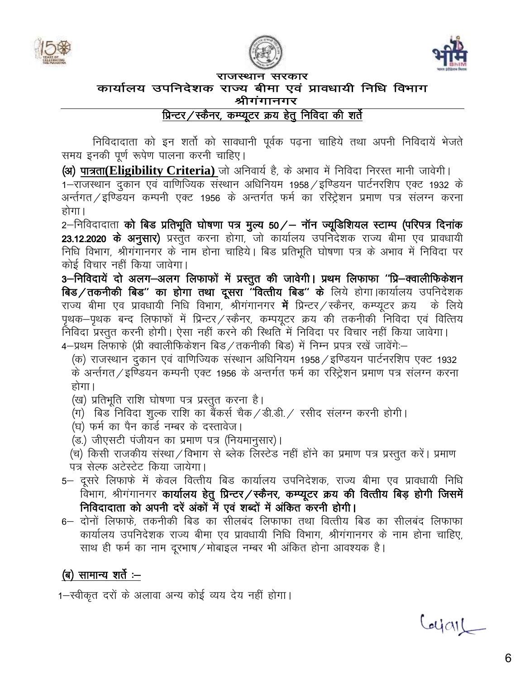





राजस्थान सरकार कार्यालय उपनिदेशक राज्य बीमा एवं प्रावधायी निधि विभाग

## श्रीगंगानगर

प्रिन्टर/स्कैनर, कम्प्यूटर क्रय हेतु निविदा की शर्ते

निविदादाता को इन शर्तो को सावधानी पूर्वक पढ़ना चाहिये तथा अपनी निविदायें भेजते समय इनकी पूर्ण रूपेण पालना करनी चाहिए।

(अ) पात्रता(Eligibility Criteria) जो अनिवार्य है, के अभाव में निविदा निरस्त मानी जावेगी।

1–राजस्थान दुकान एवं वाणिज्यिक संस्थान अधिनियम 1958 / इण्डियन पार्टनरशिप एक्ट 1932 के अर्न्तगत ⁄ इण्डियन कम्पनी एक्ट 1956 के अन्तर्गत फर्म का रस्ट्रिशन प्रमाण पत्र संलग्न करना होगा।

2–निविदादाता को बिड प्रतिभूति घोषणा पत्र मुल्य 50/– नॉन ज्यूडिशियल स्टाम्प (परिपत्र दिनांक 23.12.2020 के अनुसार) प्रस्तुत करना होगा, जो कार्यालय उपनिदेशक राज्य बीमा एव प्रावधायी निधि विभाग, श्रीगंगानगर के नाम होना चाहिये। बिड प्रतिभूति घोषणा पत्र के अभाव में निविदा पर कोई विचार नहीं किया जावेगा।

3-निविदायें दो अलग-अलग लिफाफों में प्रस्तुत की जावेगी। प्रथम लिफाफा "प्रि-क्वालीफिकेशन बिड/तकनीकी बिड" का होगा तथा दूसरा "वित्तीय बिड" के लिये होगा।कार्यालय उपनिदेशक राज्य बीमा एव प्रावधायी निधि विभाग, श्रीगंगानगर **में** प्रिन्टर / स्कैनर, कम्प्यूटर क्रय) के लिये पृथक-पृथक बन्द लिफाफों में प्रिन्टर/स्कैनर, कम्पयूटर क्रय की तकनीकी निविदा एवं वित्तिय निविदा प्रस्तुत करनी होगी। ऐसा नहीं करने की स्थिति में निविदा पर विचार नहीं किया जावेगा। 4–प्रथम लिफाफे (प्री क्वालीफिकेशन बिड/तकनीकी बिड) में निम्न प्रपत्र रखें जावेंगे:–

(क) राजस्थान दुकान एवं वाणिज्यिक संस्थान अधिनियम 1958 ⁄ इण्डियन पार्टनरशिप एक्ट 1932 के अर्न्तगत/इण्डियन कम्पनी एक्ट 1956 के अन्तर्गत फर्म का रस्ट्रिशन प्रमाण पत्र संलग्न करना होगा।

- (ख) प्रतिभूति राशि घोषणा पत्र प्रस्तुत करना है।
- (ग) बिड निविदा शुल्क राशि का बैंकर्स चैक/डी.डी./ रसीद संलग्न करनी होगी।
- (घ) फर्म का पैन कार्ड नम्बर के दस्तावेज।
- (ड.) जीएसटी पंजीयन का प्रमाण पत्र (नियमानुसार)।
- (च) किसी राजकीय संस्था/विभाग से ब्लेक लिस्टेड नहीं होंने का प्रमाण पत्र प्रस्तुत करें। प्रमाण पत्र सेल्फ अटेस्टेट किया जायेगा।
- 5– दुसरे लिफाफे में केवल वित्तीय बिड कार्यालय उपनिदेशक, राज्य बीमा एव प्रावधायी निधि विभाग, श्रीगंगानगर कार्यालय हेतू प्रिन्टर/स्कैनर, कम्प्यूटर क्रय की वित्तीय बिड़ होगी जिसमें निविदादाता को अपनी दरें अंकों में एवं शब्दों में अंकित करनी होगी।
- 6– दोनों लिफाफे, तकनीकी बिड का सीलबंद लिफाफा तथा वित्तीय बिड का सीलबंद लिफाफा कार्यालय उपनिदेशक राज्य बीमा एव प्रावधायी निधि विभाग, श्रीगंगानगर के नाम होना चाहिए, साथ ही फर्म का नाम दूरभाष / मोबाइल नम्बर भी अंकित होना आवश्यक है।

# (ब) सामान्य शर्ते :—

1-स्वीकृत दरों के अलावा अन्य कोई व्यय देय नहीं होगा।

Coyal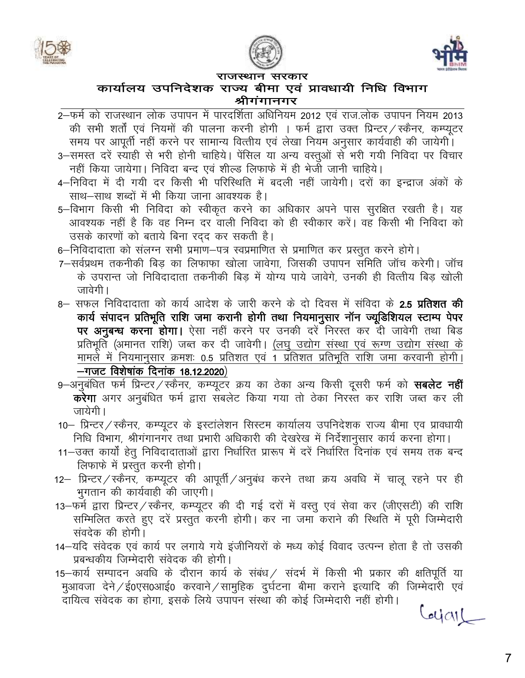





### कार्यालय उपनिदेशक राज्य बीमा एवं प्रावधायी निधि विभाग श्रीगंगानगर

- 2-फर्म को राजस्थान लोक उपापन में पारदर्शिता अधिनियम 2012 एवं राज.लोक उपापन नियम 2013 की सभी शर्तों एवं नियमों की पालना करनी होगी । फर्म द्वारा उक्त प्रिन्टर / स्कैनर, कम्प्यूटर समय पर आपूर्ती नहीं करने पर सामान्य वित्तीय एवं लेखा नियम अनुसार कार्यवाही की जायेगी।
- 3–समस्त दरें स्याही से भरी होनी चाहिये। पेंसिल या अन्य वस्तुओं से भरी गयी निविदा पर विचार नहीं किया जायेगा। निविदा बन्द एवं शील्ड लिफाफे में ही भेजी जानी चाहिये।
- 4–निविदा में दी गयी दर किसी भी परिस्थिति में बदली नहीं जायेगी। दरों का इन्द्राज अंकों के साथ–साथ शब्दों में भी किया जाना आवश्यक है।
- 5–विभाग किसी भी निविदा को स्वीकृत करने का अधिकार अपने पास सुरक्षित रखती है। यह आवश्यक नहीं है कि वह निम्न दर वाली निविदा को ही स्वीकार करें। वह किसी भी निविदा को उसके कारणों को बताये बिना रदद कर सकती है।
- 6–निविदादाता को संलग्न सभी प्रमाण–पत्र स्वप्रमाणित से प्रमाणित कर प्रस्तुत करने होगे।
- 7–सर्वप्रथम तकनीकी बिड का लिफाफा खोला जावेगा, जिसकी उपापन समिति जॉच करेगी। जॉच के उपरान्त जो निविदादाता तकनीकी बिड में योग्य पाये जावेगे. उनकी ही वित्तीय बिड खोली जावेगी ।
- 8— सफल निविदादाता को कार्य आदेश के जारी करने के दो दिवस में संविदा के **2.5 प्रतिशत की** कार्य संपादन प्रतिभूति राशि जमा करानी होगी तथा नियमानुसार नॉन ज्यूडिशियल स्टाम्प पेपर पर अनुबन्ध करना होगा। ऐसा नहीं करने पर उनकी दरें निरस्त कर दी जावेगी तथा बिड प्रतिभूति (अमानत राशि) जब्त कर दी जावेगी। (लघु उद्योग संस्था एवं रूग्ण उद्योग संस्था के मामले में नियमानुसार क्रमशः 0.5 प्रतिशत एवं 1 प्रतिशत प्रतिभूति राशि जमा करवानी होगी। -गजट विशेषांक दिनांक 18.12.2020)
- 9-अनुबंधित फर्म प्रिन्टर/स्कैनर, कम्प्यूटर क्रय का ठेका अन्य किसी दूसरी फर्म को सबलेट नहीं करेगा अगर अनुबंधित फर्म द्वारा संबलेट किया गया तो ठेका निरस्त कर राशि जब्त कर ली जायेगी।
- 10— प्रिन्टर ⁄ स्कैनर, कम्प्यूटर के इस्टांलेशन सिस्टम कार्यालय उपनिदेशक राज्य बीमा एव प्रावधायी निधि विभाग, श्रीगंगानगर तथा प्रभारी अधिकारी की देखरेख में निर्देशानुसार कार्य करना होगा।
- 11–उक्त कार्यों हेतू निविदादाताओं द्वारा निर्धारित प्रारूप में दरें निर्धारित दिनांक एवं समय तक बन्द लिफाफे में प्रस्तुत करनी होगी।
- 12- प्रिन्टर / स्कैनर, कम्प्यूटर की आपूर्ती / अनुबंध करने तथा क्रय अवधि में चालू रहने पर ही भुगतान की कार्यवाही की जाएगी।
- 13–फर्म द्वारा प्रिन्टर/स्कैनर, कम्प्यूटर की दी गई दरों में वस्तु एवं सेवा कर (जीएसटी) की राशि सम्मिलित करते हुए दरें प्रस्तुत करनी होगी। कर ना जमा कराने की स्थिति में पूरी जिम्मेदारी संवदेक की होगी।
- 14–यदि संवेदक एवं कार्य पर लगाये गये इंजीनियरों के मध्य कोई विवाद उत्पन्न होता है तो उसकी प्रबन्धकीय जिम्मेदारी संवेदक की होगी।
- 15-कार्य सम्पादन अवधि के दौरान कार्य के संबंध / संदर्भ में किसी भी प्रकार की क्षतिपूर्ति या मुआवजा देने / ई0एस0आई0 करवाने / सामुहिक दुर्घटना बीमा कराने इत्यादि की जिम्मेदारी एवं दायित्व संवेदक का होगा, इसके लिये उपापन संस्था की कोई जिम्मेदारी नहीं होगी।

Corial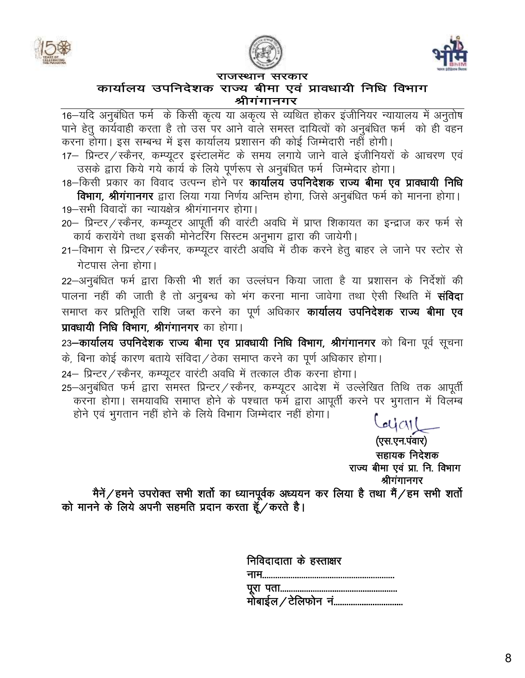





### कार्यालय उपनिदेशक राज्य बीमा एवं प्रावधायी निधि विभाग श्रीगंगानगर

16—यदि अनुबंधित फर्म) के किसी कृत्य या अकृत्य से व्यथित होकर इंजीनियर न्यायालय में अनुतोष पाने हेतू कार्यवाही करता है तो उस पर आने वाले समस्त दायित्वों को अनुबंधित फर्म को ही वहन करना होगा। इस सम्बन्ध में इस कार्यालय प्रशासन की कोई जिम्मेदारी नहीं होगी।

17– प्रिन्टर / स्कैनर, कम्प्यूटर इस्टालमेंट के समय लगाये जाने वाले इंजीनियरों के आचरण एवं उसके द्वारा किये गये कार्य के लिये पूर्णरूप से अनुबंधित फर्म जिम्मेदार होगा।

18–किसी प्रकार का विवाद उत्पन्न होने पर **कार्यालय उपनिदेशक राज्य बीमा एव प्रावधायी निधि** विभाग, श्रीगंगानगर द्वारा लिया गया निर्णय अन्तिम होगा, जिसे अनुबंधित फर्म को मानना होगा।

19-सभी विवादों का न्यायक्षेत्र श्रीगंगानगर होगा। 20 - प्रिन्टर / स्कैनर, कम्प्यूटर आपूर्ती की वारंटी अवधि में प्राप्त शिकायत का इन्द्राज कर फर्म से

कार्य करायेंगे तथा इसको मोनेटॉरेंग सिस्टम अनुभाग द्वारा की जायेगी।

21-विभाग से प्रिन्टर/स्कैनर, कम्प्यूटर वारंटी अवधि में ठीक करने हेतु बाहर ले जाने पर स्टोर से गेटपास लेना होगा।

22–अनुबंधित फर्म द्वारा किसी भी शर्त का उल्लंघन किया जाता है या प्रशासन के निर्देशों की पालना नहीं की जाती है तो अनुबन्ध को भंग करना माना जावेगा तथा ऐसी स्थिति में **संविदा** समाप्त कर प्रतिभूति राशि जब्त करने का पूर्ण अधिकार **कार्यालय उपनिदेशक राज्य बीमा एव** प्रावधायी निधि विभाग, श्रीगंगानगर का होगा।

23-कार्यालय उपनिदेशक राज्य बीमा एव प्रावधायी निधि विभाग, श्रीगंगानगर को बिना पूर्व सूचना के, बिना कोई कारण बताये संविदा / ठेका समाप्त करने का पूर्ण अधिकार होगा।

24– प्रिन्टर / स्कैनर, कम्प्यूटर वारंटी अवधि में तत्काल ठीक करना होगा।

25-अनुबंधित फर्म द्वारा समस्त प्रिन्टर / स्कैनर, कम्प्यूटर आदेश में उल्लेखित तिथि तक आपूर्ती करना होगा। समयावधि समाप्त होने के पश्चात फर्म द्वारा आपूर्ती करने पर भुगतान में विलम्ब होने एवं भुगतान नहीं होने के लिये विभाग जिम्मेदार नहीं होगा।

 $U(1)$ 

(एस.एन.पंवार) सहायक निदेशक राज्य बीमा एवं प्रा. नि. विभाग श्रीगंगानगर

मैनें / हमने उपरोक्त सभी शर्तो का ध्यानपूर्वक अध्ययन कर लिया है तथा मैं / हम सभी शर्तो को मानने के लिये अपनी सहमति प्रदान करता हूँ/करते है।

| निविदादाता के हस्ताक्षर   |
|---------------------------|
|                           |
|                           |
| .<br>मोबाईल ∕ टेलिफोन  नं |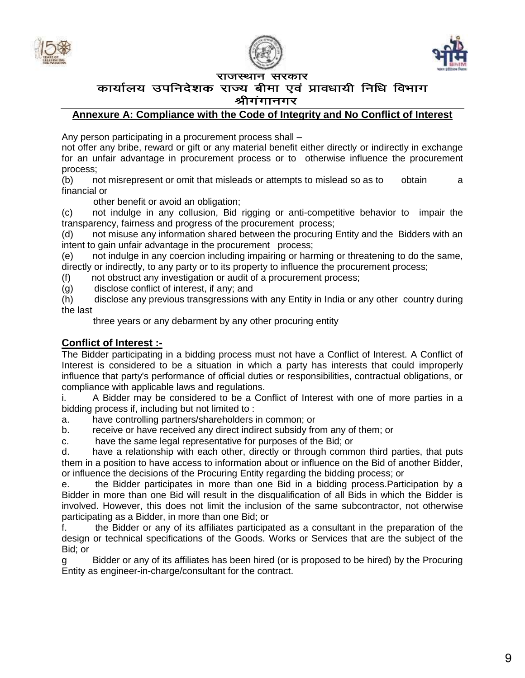





#### कार्यालय उपनिदेशक राज्य बीमा एवं प्रावधायी निधि विभाग श्रीगगानगर

#### **Annexure A: Compliance with the Code of Integrity and No Conflict of Interest**

Any person participating in a procurement process shall –

not offer any bribe, reward or gift or any material benefit either directly or indirectly in exchange for an unfair advantage in procurement process or to otherwise influence the procurement process;

(b) not misrepresent or omit that misleads or attempts to mislead so as to obtain a financial or

other benefit or avoid an obligation;

(c) not indulge in any collusion, Bid rigging or anti-competitive behavior to impair the transparency, fairness and progress of the procurement process;

(d) not misuse any information shared between the procuring Entity and the Bidders with an intent to gain unfair advantage in the procurement process;

(e) not indulge in any coercion including impairing or harming or threatening to do the same, directly or indirectly, to any party or to its property to influence the procurement process;

(f) not obstruct any investigation or audit of a procurement process;

(g) disclose conflict of interest, if any; and

(h) disclose any previous transgressions with any Entity in India or any other country during the last

three years or any debarment by any other procuring entity

#### **Conflict of Interest :-**

The Bidder participating in a bidding process must not have a Conflict of Interest. A Conflict of Interest is considered to be a situation in which a party has interests that could improperly influence that party's performance of official duties or responsibilities, contractual obligations, or compliance with applicable laws and regulations.

i. A Bidder may be considered to be a Conflict of Interest with one of more parties in a bidding process if, including but not limited to :

a. have controlling partners/shareholders in common; or

b. receive or have received any direct indirect subsidy from any of them; or

c. have the same legal representative for purposes of the Bid; or

d. have a relationship with each other, directly or through common third parties, that puts them in a position to have access to information about or influence on the Bid of another Bidder, or influence the decisions of the Procuring Entity regarding the bidding process; or

e. the Bidder participates in more than one Bid in a bidding process.Participation by a Bidder in more than one Bid will result in the disqualification of all Bids in which the Bidder is involved. However, this does not limit the inclusion of the same subcontractor, not otherwise participating as a Bidder, in more than one Bid; or

f. the Bidder or any of its affiliates participated as a consultant in the preparation of the design or technical specifications of the Goods. Works or Services that are the subject of the Bid; or

g Bidder or any of its affiliates has been hired (or is proposed to be hired) by the Procuring Entity as engineer-in-charge/consultant for the contract.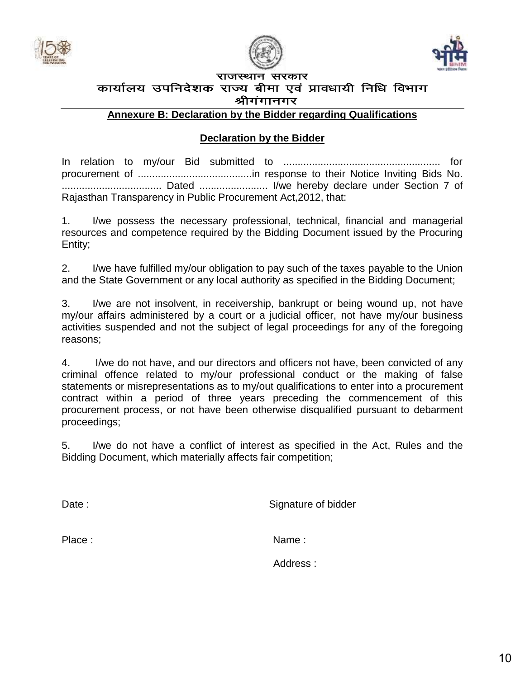





### राजस्थान सरकार कार्यालय उपनिदेशक राज्य बीमा एवं प्रावधायी निधि विभाग श्रीगगानगर

**Annexure B: Declaration by the Bidder regarding Qualifications**

### **Declaration by the Bidder**

In relation to my/our Bid submitted to ....................................................... for procurement of ........................................in response to their Notice Inviting Bids No. ................................... Dated ........................ I/we hereby declare under Section 7 of Rajasthan Transparency in Public Procurement Act,2012, that:

1. I/we possess the necessary professional, technical, financial and managerial resources and competence required by the Bidding Document issued by the Procuring Entity;

2. I/we have fulfilled my/our obligation to pay such of the taxes payable to the Union and the State Government or any local authority as specified in the Bidding Document;

3. I/we are not insolvent, in receivership, bankrupt or being wound up, not have my/our affairs administered by a court or a judicial officer, not have my/our business activities suspended and not the subject of legal proceedings for any of the foregoing reasons;

4. I/we do not have, and our directors and officers not have, been convicted of any criminal offence related to my/our professional conduct or the making of false statements or misrepresentations as to my/out qualifications to enter into a procurement contract within a period of three years preceding the commencement of this procurement process, or not have been otherwise disqualified pursuant to debarment proceedings;

5. I/we do not have a conflict of interest as specified in the Act, Rules and the Bidding Document, which materially affects fair competition;

Date : Signature of bidder

Place : Name : Name : Name : Name : Name : Name : Name : Name : Name : Name : Name : Name : Name : Name : Name : Name : Name : Name : Name : Name : Name : Name : Name : Name : Name : Name : Name : Name : Name : Name : Name

Address :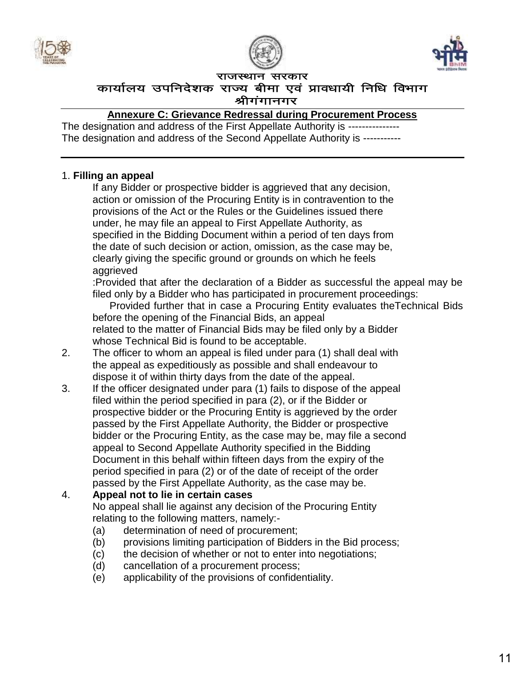





कार्यालय उपनिदेशक राज्य बीमा एवं प्रावधायी निधि विभाग श्रीगंगानगर

**Annexure C: Grievance Redressal during Procurement Process**

The designation and address of the First Appellate Authority is ----------------The designation and address of the Second Appellate Authority is -----------

### 1. **Filling an appeal**

If any Bidder or prospective bidder is aggrieved that any decision, action or omission of the Procuring Entity is in contravention to the provisions of the Act or the Rules or the Guidelines issued there under, he may file an appeal to First Appellate Authority, as specified in the Bidding Document within a period of ten days from the date of such decision or action, omission, as the case may be, clearly giving the specific ground or grounds on which he feels aggrieved

:Provided that after the declaration of a Bidder as successful the appeal may be filed only by a Bidder who has participated in procurement proceedings:

 Provided further that in case a Procuring Entity evaluates theTechnical Bids before the opening of the Financial Bids, an appeal related to the matter of Financial Bids may be filed only by a Bidder whose Technical Bid is found to be acceptable.

- 2. The officer to whom an appeal is filed under para (1) shall deal with the appeal as expeditiously as possible and shall endeavour to dispose it of within thirty days from the date of the appeal.
- 3. If the officer designated under para (1) fails to dispose of the appeal filed within the period specified in para (2), or if the Bidder or prospective bidder or the Procuring Entity is aggrieved by the order passed by the First Appellate Authority, the Bidder or prospective bidder or the Procuring Entity, as the case may be, may file a second appeal to Second Appellate Authority specified in the Bidding Document in this behalf within fifteen days from the expiry of the period specified in para (2) or of the date of receipt of the order passed by the First Appellate Authority, as the case may be.

### 4. **Appeal not to lie in certain cases**

No appeal shall lie against any decision of the Procuring Entity relating to the following matters, namely:-

- (a) determination of need of procurement;
- (b) provisions limiting participation of Bidders in the Bid process;
- (c) the decision of whether or not to enter into negotiations;
- (d) cancellation of a procurement process;
- (e) applicability of the provisions of confidentiality.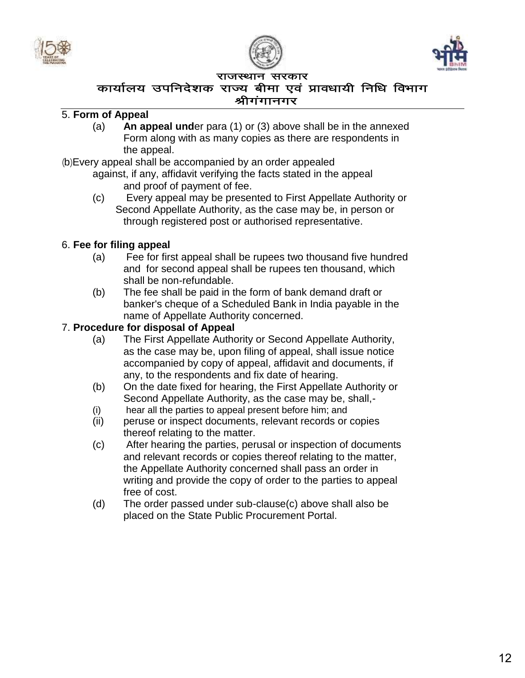





### कार्यालय उपनिदेशक राज्य बीमा एवं प्रावधायी निधि विभाग श्रीगगानगर

### 5. **Form of Appeal**

(a) **An appeal und**er para (1) or (3) above shall be in the annexed Form along with as many copies as there are respondents in the appeal.

(b) Every appeal shall be accompanied by an order appealed

- against, if any, affidavit verifying the facts stated in the appeal and proof of payment of fee.
- (c) Every appeal may be presented to First Appellate Authority or Second Appellate Authority, as the case may be, in person or through registered post or authorised representative.

### 6. **Fee for filing appeal**

- (a) Fee for first appeal shall be rupees two thousand five hundred and for second appeal shall be rupees ten thousand, which shall be non-refundable.
- (b) The fee shall be paid in the form of bank demand draft or banker's cheque of a Scheduled Bank in India payable in the name of Appellate Authority concerned.

### 7. **Procedure for disposal of Appeal**

- (a) The First Appellate Authority or Second Appellate Authority, as the case may be, upon filing of appeal, shall issue notice accompanied by copy of appeal, affidavit and documents, if any, to the respondents and fix date of hearing.
- (b) On the date fixed for hearing, the First Appellate Authority or Second Appellate Authority, as the case may be, shall,-
- (i) hear all the parties to appeal present before him; and
- (ii) peruse or inspect documents, relevant records or copies thereof relating to the matter.
- (c) After hearing the parties, perusal or inspection of documents and relevant records or copies thereof relating to the matter, the Appellate Authority concerned shall pass an order in writing and provide the copy of order to the parties to appeal free of cost.
- (d) The order passed under sub-clause(c) above shall also be placed on the State Public Procurement Portal.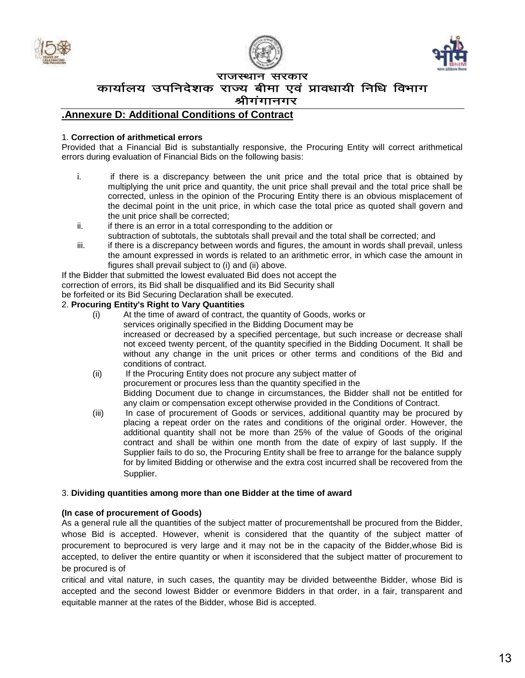





कार्यालय उपनिदेशक राज्य बीमा एवं प्रावधायी निधि विभाग

#### श्रीगंगानगर

#### **.Annexure D: Additional Conditions of Contract**

#### 1. **Correction of arithmetical errors**

Provided that a Financial Bid is substantially responsive, the Procuring Entity will correct arithmetical errors during evaluation of Financial Bids on the following basis:

- i. if there is a discrepancy between the unit price and the total price that is obtained by multiplying the unit price and quantity, the unit price shall prevail and the total price shall be corrected, unless in the opinion of the Procuring Entity there is an obvious misplacement of the decimal point in the unit price, in which case the total price as quoted shall govern and the unit price shall be corrected;
- ii. if there is an error in a total corresponding to the addition or subtraction of subtotals, the subtotals shall prevail and the total shall be corrected; and
- iii. if there is a discrepancy between words and figures, the amount in words shall prevail, unless the amount expressed in words is related to an arithmetic error, in which case the amount in figures shall prevail subject to (i) and (ii) above.

If the Bidder that submitted the lowest evaluated Bid does not accept the correction of errors, its Bid shall be disqualified and its Bid Security shall be forfeited or its Bid Securing Declaration shall be executed.

#### 2. **Procuring Entity's Right to Vary Quantities**

- (i) At the time of award of contract, the quantity of Goods, works or services originally specified in the Bidding Document may be increased or decreased by a specified percentage, but such increase or decrease shall not exceed twenty percent, of the quantity specified in the Bidding Document. It shall be without any change in the unit prices or other terms and conditions of the Bid and conditions of contract.
- (ii) If the Procuring Entity does not procure any subject matter of procurement or procures less than the quantity specified in the Bidding Document due to change in circumstances, the Bidder shall not be entitled for any claim or compensation except otherwise provided in the Conditions of Contract.
- (iii) In case of procurement of Goods or services, additional quantity may be procured by placing a repeat order on the rates and conditions of the original order. However, the additional quantity shall not be more than 25% of the value of Goods of the original contract and shall be within one month from the date of expiry of last supply. If the Supplier fails to do so, the Procuring Entity shall be free to arrange for the balance supply for by limited Bidding or otherwise and the extra cost incurred shall be recovered from the Supplier.

#### 3. **Dividing quantities among more than one Bidder at the time of award**

#### **(In case of procurement of Goods)**

As a general rule all the quantities of the subject matter of procurementshall be procured from the Bidder, whose Bid is accepted. However, whenit is considered that the quantity of the subject matter of procurement to beprocured is very large and it may not be in the capacity of the Bidder,whose Bid is accepted, to deliver the entire quantity or when it isconsidered that the subject matter of procurement to be procured is of

critical and vital nature, in such cases, the quantity may be divided betweenthe Bidder, whose Bid is accepted and the second lowest Bidder or evenmore Bidders in that order, in a fair, transparent and equitable manner at the rates of the Bidder, whose Bid is accepted.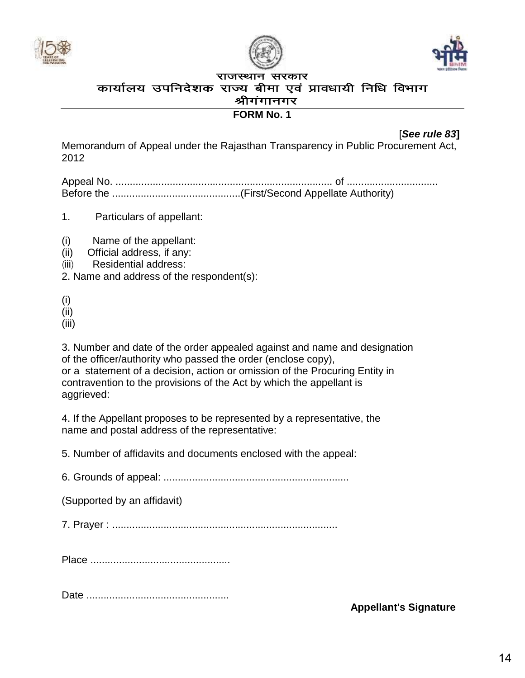





#### राजस्थान सरकार कार्यालय उपनिदेशक राज्य बीमा एवं प्रावधायी निधि विभाग श्रीगंगानगर

### **FORM No. 1**

[*See rule 83***]**

Memorandum of Appeal under the Rajasthan Transparency in Public Procurement Act, 2012

Appeal No. ............................................................................ of ................................ Before the .............................................(First/Second Appellate Authority)

- 1. Particulars of appellant:
- (i) Name of the appellant:
- (ii) Official address, if any:
- (iii) Residential address:

2. Name and address of the respondent(s):

(i)

(ii)

(iii)

3. Number and date of the order appealed against and name and designation of the officer/authority who passed the order (enclose copy), or a statement of a decision, action or omission of the Procuring Entity in contravention to the provisions of the Act by which the appellant is aggrieved:

4. If the Appellant proposes to be represented by a representative, the name and postal address of the representative:

5. Number of affidavits and documents enclosed with the appeal:

6. Grounds of appeal: .................................................................

(Supported by an affidavit)

7. Prayer : ...............................................................................

Place .................................................

Date ..................................................

**Appellant's Signature**